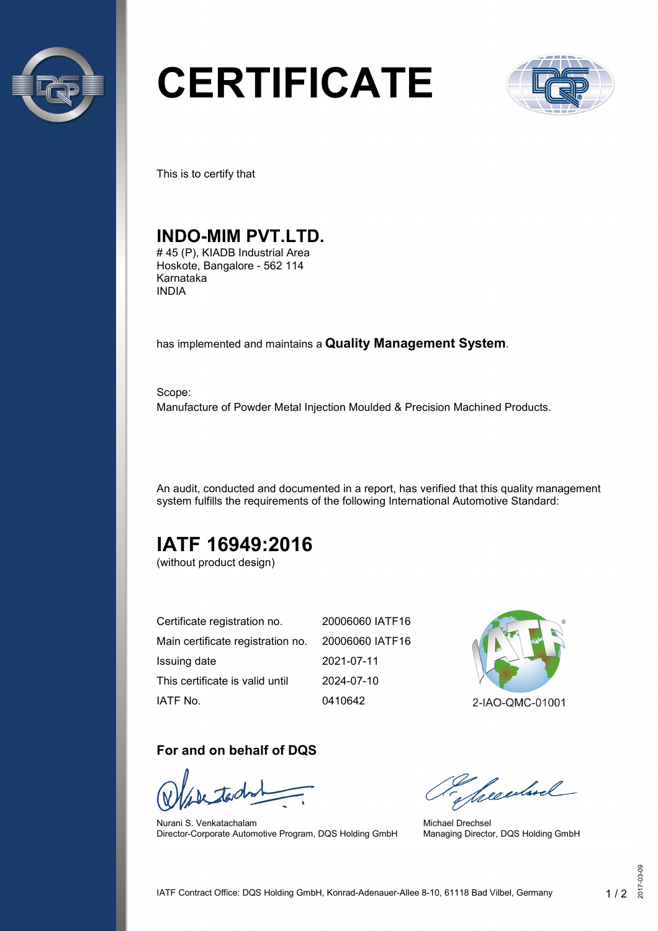

# **CERTIFICATE**



This is to certify that

## **INDO-MIM PVT.LTD.**

# 45 (P), KIADB Industrial Area Hoskote, Bangalore - 562 114 Karnataka INDIA

has implemented and maintains a **Quality Management System**.

Scope: Manufacture of Powder Metal Injection Moulded & Precision Machined Products.

An audit, conducted and documented in a report, has verified that this quality management system fulfills the requirements of the following International Automotive Standard:

# **IATF 16949:2016**

(without product design)

| Certificate registration no.      | 20006060 IATF16 |
|-----------------------------------|-----------------|
| Main certificate registration no. | 20006060 IATF16 |
| Issuing date                      | 2021-07-11      |
| This certificate is valid until   | 2024-07-10      |
| IATF No.                          | 0410642         |



#### **For and on behalf of DQS**

Nurani S. Venkatachalam Director-Corporate Automotive Program, DQS Holding GmbH

Secularel

Michael Drechsel Managing Director, DQS Holding GmbH

2017-03-09